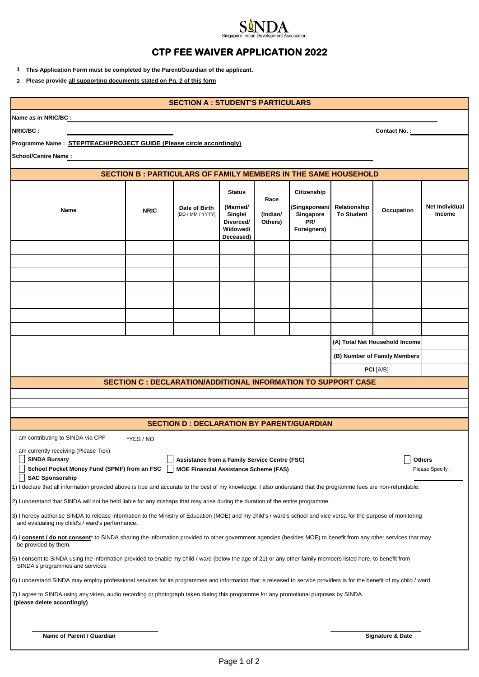## Singap ociation **CTP FEE WAIVER APPLICATION 2022**

**1 This Application Form must be completed by the Parent/Guardian of the applicant.** 

**2 Please provide all supporting documents stated on Pg. 2 of this form**

|                                                                                                                                                                                                                                                                                                                                                                                                                                                       |             | <b>SECTION A: STUDENT'S PARTICULARS</b>                               |                                                                             |                             |                                                                 |                                   |                              |                          |
|-------------------------------------------------------------------------------------------------------------------------------------------------------------------------------------------------------------------------------------------------------------------------------------------------------------------------------------------------------------------------------------------------------------------------------------------------------|-------------|-----------------------------------------------------------------------|-----------------------------------------------------------------------------|-----------------------------|-----------------------------------------------------------------|-----------------------------------|------------------------------|--------------------------|
| Name as in NRIC/BC :                                                                                                                                                                                                                                                                                                                                                                                                                                  |             |                                                                       |                                                                             |                             |                                                                 |                                   |                              |                          |
| NRIC/BC:                                                                                                                                                                                                                                                                                                                                                                                                                                              |             |                                                                       |                                                                             |                             |                                                                 |                                   | <b>Contact No.:</b>          |                          |
| Programme Name: STEP/TEACH/PROJECT GUIDE (Please circle accordingly)                                                                                                                                                                                                                                                                                                                                                                                  |             |                                                                       |                                                                             |                             |                                                                 |                                   |                              |                          |
| <b>School/Centre Name:</b>                                                                                                                                                                                                                                                                                                                                                                                                                            |             |                                                                       |                                                                             |                             |                                                                 |                                   |                              |                          |
|                                                                                                                                                                                                                                                                                                                                                                                                                                                       |             | <b>SECTION B: PARTICULARS OF FAMILY MEMBERS IN THE SAME HOUSEHOLD</b> |                                                                             |                             |                                                                 |                                   |                              |                          |
|                                                                                                                                                                                                                                                                                                                                                                                                                                                       |             |                                                                       |                                                                             |                             |                                                                 |                                   |                              |                          |
| Name                                                                                                                                                                                                                                                                                                                                                                                                                                                  | <b>NRIC</b> | Date of Birth<br>(DD / MM / YYYY)                                     | <b>Status</b><br>(Married/<br>Single/<br>Divorced/<br>Widowed/<br>Deceased) | Race<br>(Indian/<br>Others) | Citizenship<br>(Singaporean/<br>Singapore<br>PR/<br>Foreigners) | Relationship<br><b>To Student</b> | Occupation                   | Net Individual<br>Income |
|                                                                                                                                                                                                                                                                                                                                                                                                                                                       |             |                                                                       |                                                                             |                             |                                                                 |                                   |                              |                          |
|                                                                                                                                                                                                                                                                                                                                                                                                                                                       |             |                                                                       |                                                                             |                             |                                                                 |                                   |                              |                          |
|                                                                                                                                                                                                                                                                                                                                                                                                                                                       |             |                                                                       |                                                                             |                             |                                                                 |                                   |                              |                          |
|                                                                                                                                                                                                                                                                                                                                                                                                                                                       |             |                                                                       |                                                                             |                             |                                                                 |                                   |                              |                          |
|                                                                                                                                                                                                                                                                                                                                                                                                                                                       |             |                                                                       |                                                                             |                             |                                                                 |                                   |                              |                          |
|                                                                                                                                                                                                                                                                                                                                                                                                                                                       |             |                                                                       |                                                                             |                             |                                                                 |                                   |                              |                          |
|                                                                                                                                                                                                                                                                                                                                                                                                                                                       |             |                                                                       |                                                                             |                             | (A) Total Net Household Income                                  |                                   |                              |                          |
|                                                                                                                                                                                                                                                                                                                                                                                                                                                       |             |                                                                       |                                                                             |                             |                                                                 |                                   | (B) Number of Family Members |                          |
|                                                                                                                                                                                                                                                                                                                                                                                                                                                       |             |                                                                       |                                                                             |                             |                                                                 |                                   | PCI [A/B]                    |                          |
|                                                                                                                                                                                                                                                                                                                                                                                                                                                       |             | <b>SECTION C : DECLARATION/ADDITIONAL INFORMATION TO SUPPORT CASE</b> |                                                                             |                             |                                                                 |                                   |                              |                          |
|                                                                                                                                                                                                                                                                                                                                                                                                                                                       |             |                                                                       |                                                                             |                             |                                                                 |                                   |                              |                          |
|                                                                                                                                                                                                                                                                                                                                                                                                                                                       |             |                                                                       |                                                                             |                             |                                                                 |                                   |                              |                          |
|                                                                                                                                                                                                                                                                                                                                                                                                                                                       |             | <b>SECTION D : DECLARATION BY PARENT/GUARDIAN</b>                     |                                                                             |                             |                                                                 |                                   |                              |                          |
| I am contributing to SINDA via CPF                                                                                                                                                                                                                                                                                                                                                                                                                    | *YES / NO   |                                                                       |                                                                             |                             |                                                                 |                                   |                              |                          |
| I am currently receiving (Please Tick)<br>□<br>$\Box$ Others<br><b>SINDA Bursary</b><br>Assistance from a Family Service Centre (FSC)<br>School Pocket Money Fund (SPMF) from an FSC<br><b>MOE Financial Assistance Scheme (FAS)</b><br>Please Specify:<br><b>SAC Sponsorship</b><br>1) I declare that all information provided above is true and accurate to the best of my knowledge. I also understand that the programme fees are non-refundable. |             |                                                                       |                                                                             |                             |                                                                 |                                   |                              |                          |
| 2) I understand that SINDA will not be held liable for any mishaps that may arise during the duration of the entire programme.                                                                                                                                                                                                                                                                                                                        |             |                                                                       |                                                                             |                             |                                                                 |                                   |                              |                          |
| 3) I hereby authorise SINDA to release information to the Ministry of Education (MOE) and my child's / ward's school and vice versa for the purpose of monitoring<br>and evaluating my child's / ward's performance.                                                                                                                                                                                                                                  |             |                                                                       |                                                                             |                             |                                                                 |                                   |                              |                          |
| 4) I consent / do not consent <sup>*</sup> to SINDA sharing the information provided to other government agencies (besides MOE) to benefit from any other services that may<br>be provided by them.                                                                                                                                                                                                                                                   |             |                                                                       |                                                                             |                             |                                                                 |                                   |                              |                          |
| 5) I consent to SINDA using the information provided to enable my child / ward (below the age of 21) or any other family members listed here, to benefit from<br>SINDA's programmes and services                                                                                                                                                                                                                                                      |             |                                                                       |                                                                             |                             |                                                                 |                                   |                              |                          |
| 6) I understand SINDA may employ professional services for its programmes and information that is released to service providers is for the benefit of my child / ward.                                                                                                                                                                                                                                                                                |             |                                                                       |                                                                             |                             |                                                                 |                                   |                              |                          |
| 7) I agree to SINDA using any video, audio recording or photograph taken during this programme for any promotional purposes by SINDA.<br>(please delete accordingly)                                                                                                                                                                                                                                                                                  |             |                                                                       |                                                                             |                             |                                                                 |                                   |                              |                          |
| Name of Parent / Guardian                                                                                                                                                                                                                                                                                                                                                                                                                             |             |                                                                       |                                                                             |                             |                                                                 |                                   | <b>Signature &amp; Date</b>  |                          |